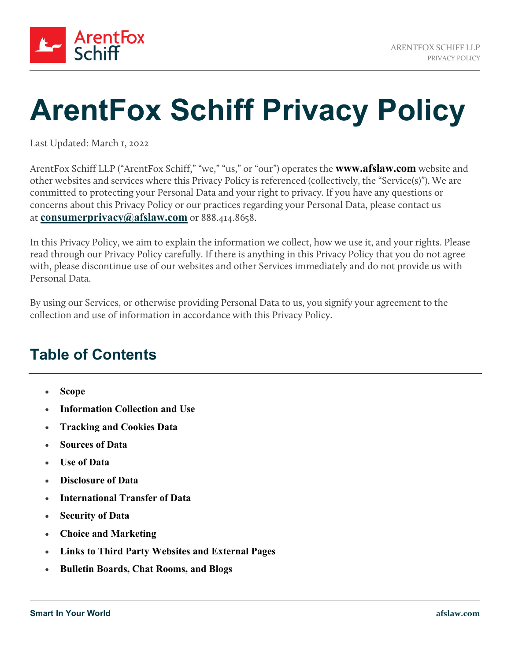

# **ArentFox Schiff Privacy Policy**

Last Updated: March 1, 2022

ArentFox Schiff LLP ("ArentFox Schiff," "we," "us," or "our") operates the **www.afslaw.com** website and other websites and services where this Privacy Policy is referenced (collectively, the "Service(s)"). We are committed to protecting your Personal Data and your right to privacy. If you have any questions or concerns about this Privacy Policy or our practices regarding your Personal Data, please contact us at **[consumerprivacy@afslaw.com](mailto:consumerprivacy@afslaw.com)** or 888.414.8658.

In this Privacy Policy, we aim to explain the information we collect, how we use it, and your rights. Please read through our Privacy Policy carefully. If there is anything in this Privacy Policy that you do not agree with, please discontinue use of our websites and other Services immediately and do not provide us with Personal Data.

By using our Services, or otherwise providing Personal Data to us, you signify your agreement to the collection and use of information in accordance with this Privacy Policy.

# **Table of Contents**

- **[Scope](#page-1-0)**
- **[Information Collection and Use](#page-1-1)**
- **[Tracking and Cookies Data](#page-3-0)**
- **[Sources of Data](#page-4-0)**
- **[Use of Data](#page-4-1)**
- **[Disclosure of Data](#page-6-0)**
- **[International Transfer of Data](#page-7-0)**
- **[Security of Data](#page-7-1)**
- **[Choice and Marketing](#page-8-0)**
- **[Links to Third Party Websites and External Pages](#page-8-1)**
- **[Bulletin Boards, Chat Rooms, and Blogs](#page-8-2)**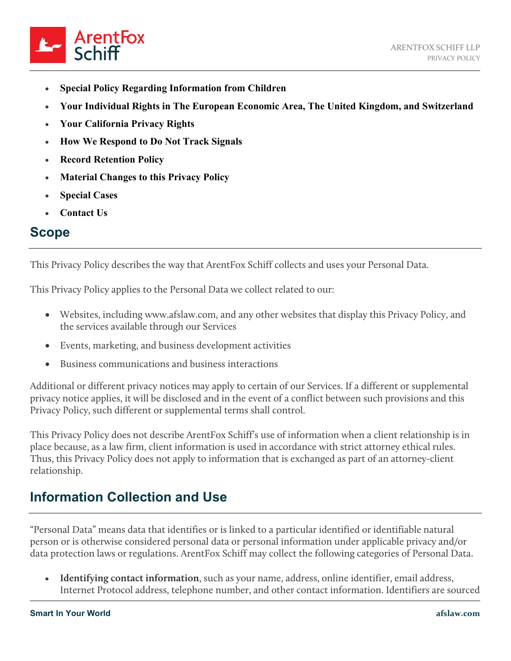

- **[Special Policy Regarding Information from Children](#page-8-3)**
- **[Your Individual Rights in The European Economic Area, The United Kingdom, and Switzerland](#page-9-0)**
- **[Your California Privacy Rights](#page-9-1)**
- **[How We Respond to Do Not Track Signals](#page-10-0)**
- **[Record Retention Policy](#page-10-1)**
- **[Material Changes to this Privacy Policy](#page-10-2)**
- **[Special Cases](#page-11-0)**
- **[Contact Us](#page-11-1)**

#### <span id="page-1-0"></span>**Scope**

This Privacy Policy describes the way that ArentFox Schiff collects and uses your Personal Data.

This Privacy Policy applies to the Personal Data we collect related to our:

- Websites, including www.afslaw.com, and any other websites that display this Privacy Policy, and the services available through our Services
- Events, marketing, and business development activities
- Business communications and business interactions

Additional or different privacy notices may apply to certain of our Services. If a different or supplemental privacy notice applies, it will be disclosed and in the event of a conflict between such provisions and this Privacy Policy, such different or supplemental terms shall control.

This Privacy Policy does not describe ArentFox Schiff's use of information when a client relationship is in place because, as a law firm, client information is used in accordance with strict attorney ethical rules. Thus, this Privacy Policy does not apply to information that is exchanged as part of an attorney-client relationship.

## <span id="page-1-1"></span>**Information Collection and Use**

"Personal Data" means data that identifies or is linked to a particular identified or identifiable natural person or is otherwise considered personal data or personal information under applicable privacy and/or data protection laws or regulations. ArentFox Schiff may collect the following categories of Personal Data.

• **Identifying contact information**, such as your name, address, online identifier, email address, Internet Protocol address, telephone number, and other contact information. Identifiers are sourced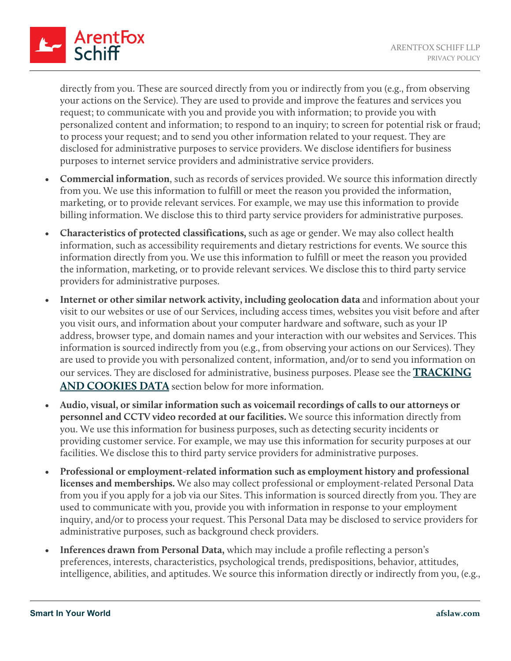

directly from you. These are sourced directly from you or indirectly from you (e.g., from observing your actions on the Service). They are used to provide and improve the features and services you request; to communicate with you and provide you with information; to provide you with personalized content and information; to respond to an inquiry; to screen for potential risk or fraud; to process your request; and to send you other information related to your request. They are disclosed for administrative purposes to service providers. We disclose identifiers for business purposes to internet service providers and administrative service providers.

- **Commercial information**, such as records of services provided. We source this information directly from you. We use this information to fulfill or meet the reason you provided the information, marketing, or to provide relevant services. For example, we may use this information to provide billing information. We disclose this to third party service providers for administrative purposes.
- **Characteristics of protected classifications,** such as age or gender. We may also collect health information, such as accessibility requirements and dietary restrictions for events. We source this information directly from you. We use this information to fulfill or meet the reason you provided the information, marketing, or to provide relevant services. We disclose this to third party service providers for administrative purposes.
- **Internet or other similar network activity, including geolocation data** and information about your visit to our websites or use of our Services, including access times, websites you visit before and after you visit ours, and information about your computer hardware and software, such as your IP address, browser type, and domain names and your interaction with our websites and Services. This information is sourced indirectly from you (e.g., from observing your actions on our Services). They are used to provide you with personalized content, information, and/or to send you information on our services. They are disclosed for administrative, business purposes. Please see the **[TRACKING](https://www.afslaw.com/privacy-policy#cookies)  [AND COOKIES DATA](https://www.afslaw.com/privacy-policy#cookies)** section below for more information.
- **Audio, visual, or similar information such as voicemail recordings of calls to our attorneys or personnel and CCTV video recorded at our facilities.** We source this information directly from you. We use this information for business purposes, such as detecting security incidents or providing customer service. For example, we may use this information for security purposes at our facilities. We disclose this to third party service providers for administrative purposes.
- **Professional or employment-related information such as employment history and professional licenses and memberships.** We also may collect professional or employment-related Personal Data from you if you apply for a job via our Sites. This information is sourced directly from you. They are used to communicate with you, provide you with information in response to your employment inquiry, and/or to process your request. This Personal Data may be disclosed to service providers for administrative purposes, such as background check providers.
- **Inferences drawn from Personal Data,** which may include a profile reflecting a person's preferences, interests, characteristics, psychological trends, predispositions, behavior, attitudes, intelligence, abilities, and aptitudes. We source this information directly or indirectly from you, (e.g.,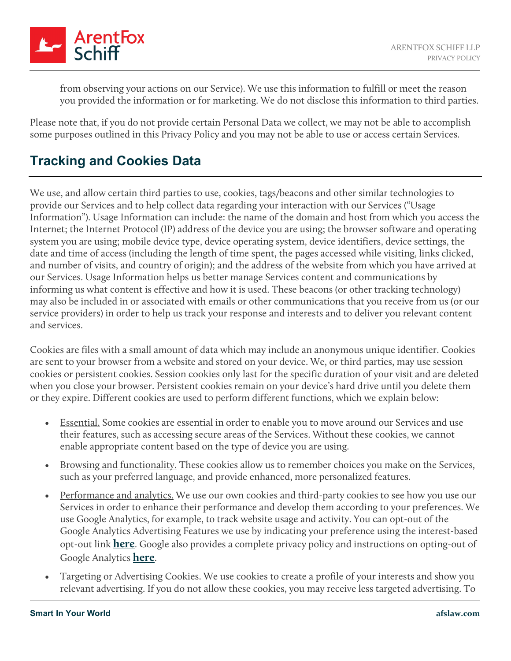

from observing your actions on our Service). We use this information to fulfill or meet the reason you provided the information or for marketing. We do not disclose this information to third parties.

Please note that, if you do not provide certain Personal Data we collect, we may not be able to accomplish some purposes outlined in this Privacy Policy and you may not be able to use or access certain Services.

## <span id="page-3-0"></span>**Tracking and Cookies Data**

We use, and allow certain third parties to use, cookies, tags/beacons and other similar technologies to provide our Services and to help collect data regarding your interaction with our Services ("Usage Information"). Usage Information can include: the name of the domain and host from which you access the Internet; the Internet Protocol (IP) address of the device you are using; the browser software and operating system you are using; mobile device type, device operating system, device identifiers, device settings, the date and time of access (including the length of time spent, the pages accessed while visiting, links clicked, and number of visits, and country of origin); and the address of the website from which you have arrived at our Services. Usage Information helps us better manage Services content and communications by informing us what content is effective and how it is used. These beacons (or other tracking technology) may also be included in or associated with emails or other communications that you receive from us (or our service providers) in order to help us track your response and interests and to deliver you relevant content and services.

Cookies are files with a small amount of data which may include an anonymous unique identifier. Cookies are sent to your browser from a website and stored on your device. We, or third parties, may use session cookies or persistent cookies. Session cookies only last for the specific duration of your visit and are deleted when you close your browser. Persistent cookies remain on your device's hard drive until you delete them or they expire. Different cookies are used to perform different functions, which we explain below:

- Essential. Some cookies are essential in order to enable you to move around our Services and use their features, such as accessing secure areas of the Services. Without these cookies, we cannot enable appropriate content based on the type of device you are using.
- Browsing and functionality. These cookies allow us to remember choices you make on the Services, such as your preferred language, and provide enhanced, more personalized features.
- Performance and analytics. We use our own cookies and third-party cookies to see how you use our Services in order to enhance their performance and develop them according to your preferences. We use Google Analytics, for example, to track website usage and activity. You can opt-out of the Google Analytics Advertising Features we use by indicating your preference using the interest-based opt-out link **[here](http://optout.aboutads.info/?c=2#!/)**. Google also provides a complete privacy policy and instructions on opting-out of Google Analytics **[here](https://tools.google.com/dlpage/gaoptout/)**.
- Targeting or Advertising Cookies. We use cookies to create a profile of your interests and show you relevant advertising. If you do not allow these cookies, you may receive less targeted advertising. To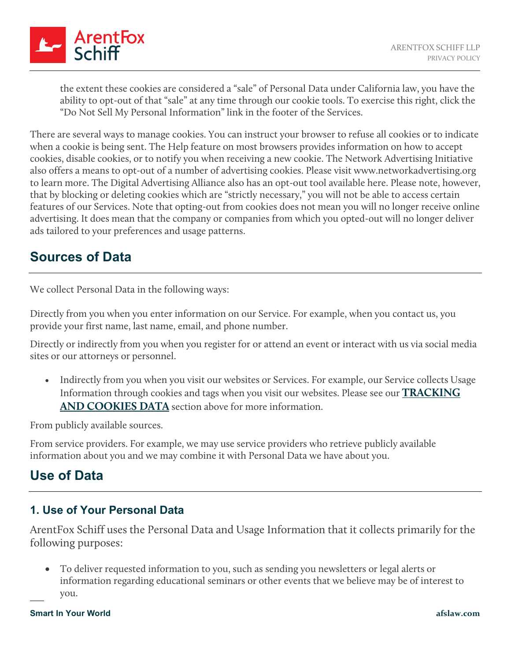

the extent these cookies are considered a "sale" of Personal Data under California law, you have the ability to opt-out of that "sale" at any time through our cookie tools. To exercise this right, click the "Do Not Sell My Personal Information" link in the footer of the Services.

There are several ways to manage cookies. You can instruct your browser to refuse all cookies or to indicate when a cookie is being sent. The Help feature on most browsers provides information on how to accept cookies, disable cookies, or to notify you when receiving a new cookie. The Network Advertising Initiative also offers a means to opt-out of a number of advertising cookies. Please visit www.networkadvertising.org to learn more. The Digital Advertising Alliance also has an opt-out tool available here. Please note, however, that by blocking or deleting cookies which are "strictly necessary," you will not be able to access certain features of our Services. Note that opting-out from cookies does not mean you will no longer receive online advertising. It does mean that the company or companies from which you opted-out will no longer deliver ads tailored to your preferences and usage patterns.

## <span id="page-4-0"></span>**Sources of Data**

We collect Personal Data in the following ways:

Directly from you when you enter information on our Service. For example, when you contact us, you provide your first name, last name, email, and phone number.

Directly or indirectly from you when you register for or attend an event or interact with us via social media sites or our attorneys or personnel.

• Indirectly from you when you visit our websites or Services. For example, our Service collects Usage Information through cookies and tags when you visit our websites. Please see our **[TRACKING](https://www.afslaw.com/privacy-policy#cookies)  [AND COOKIES DATA](https://www.afslaw.com/privacy-policy#cookies)** section above for more information.

From publicly available sources.

From service providers. For example, we may use service providers who retrieve publicly available information about you and we may combine it with Personal Data we have about you.

# <span id="page-4-1"></span>**Use of Data**

#### **1. Use of Your Personal Data**

ArentFox Schiff uses the Personal Data and Usage Information that it collects primarily for the following purposes:

• To deliver requested information to you, such as sending you newsletters or legal alerts or information regarding educational seminars or other events that we believe may be of interest to you.

#### **Smart In Your World afslaw.com**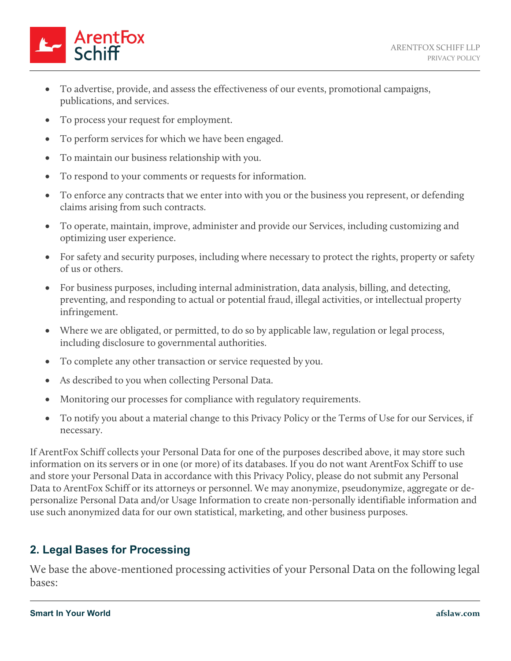

- To advertise, provide, and assess the effectiveness of our events, promotional campaigns, publications, and services.
- To process your request for employment.
- To perform services for which we have been engaged.
- To maintain our business relationship with you.
- To respond to your comments or requests for information.
- To enforce any contracts that we enter into with you or the business you represent, or defending claims arising from such contracts.
- To operate, maintain, improve, administer and provide our Services, including customizing and optimizing user experience.
- For safety and security purposes, including where necessary to protect the rights, property or safety of us or others.
- For business purposes, including internal administration, data analysis, billing, and detecting, preventing, and responding to actual or potential fraud, illegal activities, or intellectual property infringement.
- Where we are obligated, or permitted, to do so by applicable law, regulation or legal process, including disclosure to governmental authorities.
- To complete any other transaction or service requested by you.
- As described to you when collecting Personal Data.
- Monitoring our processes for compliance with regulatory requirements.
- To notify you about a material change to this Privacy Policy or the Terms of Use for our Services, if necessary.

If ArentFox Schiff collects your Personal Data for one of the purposes described above, it may store such information on its servers or in one (or more) of its databases. If you do not want ArentFox Schiff to use and store your Personal Data in accordance with this Privacy Policy, please do not submit any Personal Data to ArentFox Schiff or its attorneys or personnel. We may anonymize, pseudonymize, aggregate or depersonalize Personal Data and/or Usage Information to create non-personally identifiable information and use such anonymized data for our own statistical, marketing, and other business purposes.

#### **2. Legal Bases for Processing**

We base the above-mentioned processing activities of your Personal Data on the following legal bases: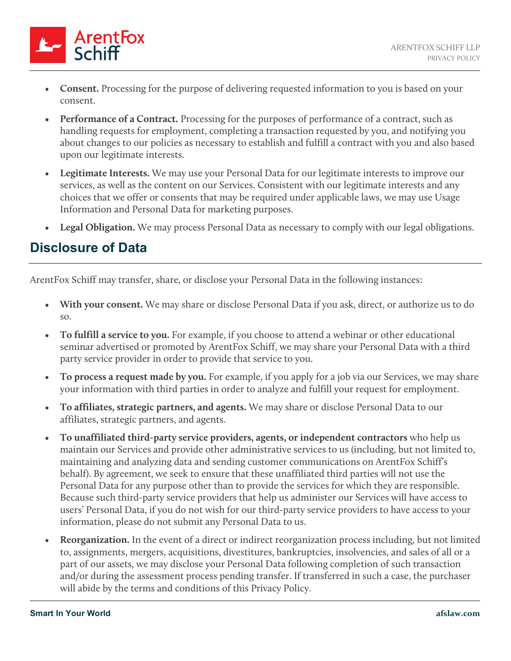

- **Consent.** Processing for the purpose of delivering requested information to you is based on your consent.
- **Performance of a Contract.** Processing for the purposes of performance of a contract, such as handling requests for employment, completing a transaction requested by you, and notifying you about changes to our policies as necessary to establish and fulfill a contract with you and also based upon our legitimate interests.
- **Legitimate Interests.** We may use your Personal Data for our legitimate interests to improve our services, as well as the content on our Services. Consistent with our legitimate interests and any choices that we offer or consents that may be required under applicable laws, we may use Usage Information and Personal Data for marketing purposes.
- Legal Obligation. We may process Personal Data as necessary to comply with our legal obligations.

## <span id="page-6-0"></span>**Disclosure of Data**

ArentFox Schiff may transfer, share, or disclose your Personal Data in the following instances:

- **With your consent.** We may share or disclose Personal Data if you ask, direct, or authorize us to do so.
- **To fulfill a service to you.** For example, if you choose to attend a webinar or other educational seminar advertised or promoted by ArentFox Schiff, we may share your Personal Data with a third party service provider in order to provide that service to you.
- **To process a request made by you.** For example, if you apply for a job via our Services, we may share your information with third parties in order to analyze and fulfill your request for employment.
- **To affiliates, strategic partners, and agents.** We may share or disclose Personal Data to our affiliates, strategic partners, and agents.
- **To unaffiliated third-party service providers, agents, or independent contractors** who help us maintain our Services and provide other administrative services to us (including, but not limited to, maintaining and analyzing data and sending customer communications on ArentFox Schiff's behalf). By agreement, we seek to ensure that these unaffiliated third parties will not use the Personal Data for any purpose other than to provide the services for which they are responsible. Because such third-party service providers that help us administer our Services will have access to users' Personal Data, if you do not wish for our third-party service providers to have access to your information, please do not submit any Personal Data to us.
- **Reorganization.** In the event of a direct or indirect reorganization process including, but not limited to, assignments, mergers, acquisitions, divestitures, bankruptcies, insolvencies, and sales of all or a part of our assets, we may disclose your Personal Data following completion of such transaction and/or during the assessment process pending transfer. If transferred in such a case, the purchaser will abide by the terms and conditions of this Privacy Policy.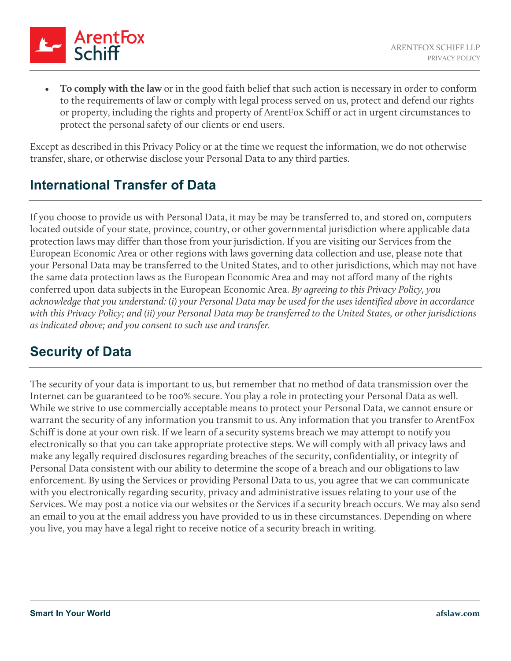

• **To comply with the law** or in the good faith belief that such action is necessary in order to conform to the requirements of law or comply with legal process served on us, protect and defend our rights or property, including the rights and property of ArentFox Schiff or act in urgent circumstances to protect the personal safety of our clients or end users.

Except as described in this Privacy Policy or at the time we request the information, we do not otherwise transfer, share, or otherwise disclose your Personal Data to any third parties.

## <span id="page-7-0"></span>**International Transfer of Data**

If you choose to provide us with Personal Data, it may be may be transferred to, and stored on, computers located outside of your state, province, country, or other governmental jurisdiction where applicable data protection laws may differ than those from your jurisdiction. If you are visiting our Services from the European Economic Area or other regions with laws governing data collection and use, please note that your Personal Data may be transferred to the United States, and to other jurisdictions, which may not have the same data protection laws as the European Economic Area and may not afford many of the rights conferred upon data subjects in the European Economic Area. *By agreeing to this Privacy Policy, you acknowledge that you understand: (i) your Personal Data may be used for the uses identified above in accordance with this Privacy Policy; and (ii) your Personal Data may be transferred to the United States, or other jurisdictions as indicated above; and you consent to such use and transfer.*

## <span id="page-7-1"></span>**Security of Data**

The security of your data is important to us, but remember that no method of data transmission over the Internet can be guaranteed to be 100% secure. You play a role in protecting your Personal Data as well. While we strive to use commercially acceptable means to protect your Personal Data, we cannot ensure or warrant the security of any information you transmit to us. Any information that you transfer to ArentFox Schiff is done at your own risk. If we learn of a security systems breach we may attempt to notify you electronically so that you can take appropriate protective steps. We will comply with all privacy laws and make any legally required disclosures regarding breaches of the security, confidentiality, or integrity of Personal Data consistent with our ability to determine the scope of a breach and our obligations to law enforcement. By using the Services or providing Personal Data to us, you agree that we can communicate with you electronically regarding security, privacy and administrative issues relating to your use of the Services. We may post a notice via our websites or the Services if a security breach occurs. We may also send an email to you at the email address you have provided to us in these circumstances. Depending on where you live, you may have a legal right to receive notice of a security breach in writing.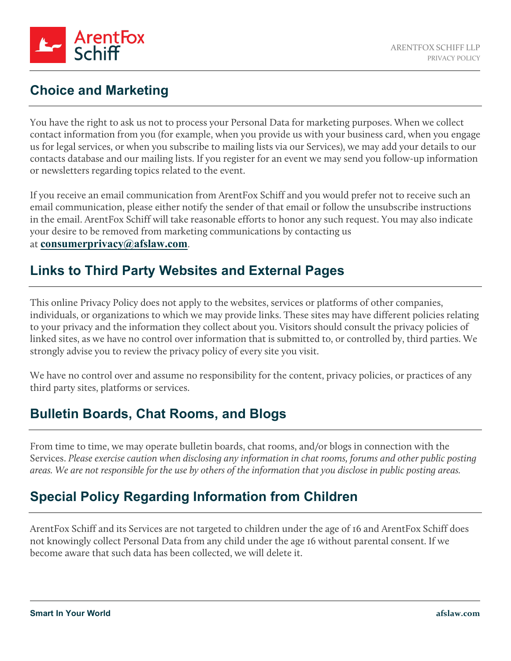

## <span id="page-8-0"></span>**Choice and Marketing**

You have the right to ask us not to process your Personal Data for marketing purposes. When we collect contact information from you (for example, when you provide us with your business card, when you engage us for legal services, or when you subscribe to mailing lists via our Services), we may add your details to our contacts database and our mailing lists. If you register for an event we may send you follow-up information or newsletters regarding topics related to the event.

If you receive an email communication from ArentFox Schiff and you would prefer not to receive such an email communication, please either notify the sender of that email or follow the unsubscribe instructions in the email. ArentFox Schiff will take reasonable efforts to honor any such request. You may also indicate your desire to be removed from marketing communications by contacting us

#### at **[consumerprivacy@afslaw.com](mailto:consumerprivacy@afslaw.com)**.

## <span id="page-8-1"></span>**Links to Third Party Websites and External Pages**

This online Privacy Policy does not apply to the websites, services or platforms of other companies, individuals, or organizations to which we may provide links. These sites may have different policies relating to your privacy and the information they collect about you. Visitors should consult the privacy policies of linked sites, as we have no control over information that is submitted to, or controlled by, third parties. We strongly advise you to review the privacy policy of every site you visit.

We have no control over and assume no responsibility for the content, privacy policies, or practices of any third party sites, platforms or services.

# <span id="page-8-2"></span>**Bulletin Boards, Chat Rooms, and Blogs**

From time to time, we may operate bulletin boards, chat rooms, and/or blogs in connection with the Services. *Please exercise caution when disclosing any information in chat rooms, forums and other public posting areas. We are not responsible for the use by others of the information that you disclose in public posting areas.*

# <span id="page-8-3"></span>**Special Policy Regarding Information from Children**

ArentFox Schiff and its Services are not targeted to children under the age of 16 and ArentFox Schiff does not knowingly collect Personal Data from any child under the age 16 without parental consent. If we become aware that such data has been collected, we will delete it.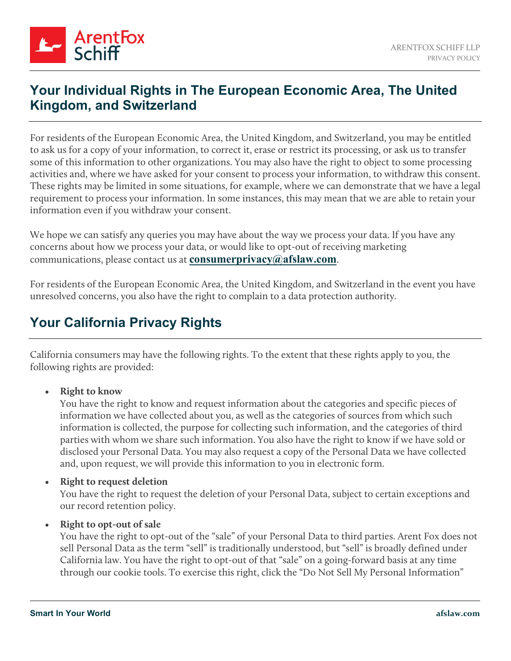

#### <span id="page-9-0"></span>**Your Individual Rights in The European Economic Area, The United Kingdom, and Switzerland**

For residents of the European Economic Area, the United Kingdom, and Switzerland, you may be entitled to ask us for a copy of your information, to correct it, erase or restrict its processing, or ask us to transfer some of this information to other organizations. You may also have the right to object to some processing activities and, where we have asked for your consent to process your information, to withdraw this consent. These rights may be limited in some situations, for example, where we can demonstrate that we have a legal requirement to process your information. In some instances, this may mean that we are able to retain your information even if you withdraw your consent.

We hope we can satisfy any queries you may have about the way we process your data. If you have any concerns about how we process your data, or would like to opt-out of receiving marketing communications, please contact us at **[consumerprivacy@afslaw.com](mailto:consumerprivacy@afslaw.com)**.

For residents of the European Economic Area, the United Kingdom, and Switzerland in the event you have unresolved concerns, you also have the right to complain to a data protection authority.

## <span id="page-9-1"></span>**Your California Privacy Rights**

California consumers may have the following rights. To the extent that these rights apply to you, the following rights are provided:

#### • **Right to know**

You have the right to know and request information about the categories and specific pieces of information we have collected about you, as well as the categories of sources from which such information is collected, the purpose for collecting such information, and the categories of third parties with whom we share such information. You also have the right to know if we have sold or disclosed your Personal Data. You may also request a copy of the Personal Data we have collected and, upon request, we will provide this information to you in electronic form.

#### • **Right to request deletion**

You have the right to request the deletion of your Personal Data, subject to certain exceptions and our record retention policy.

#### • **Right to opt-out of sale**

You have the right to opt-out of the "sale" of your Personal Data to third parties. Arent Fox does not sell Personal Data as the term "sell" is traditionally understood, but "sell" is broadly defined under California law. You have the right to opt-out of that "sale" on a going-forward basis at any time through our cookie tools. To exercise this right, click the "Do Not Sell My Personal Information"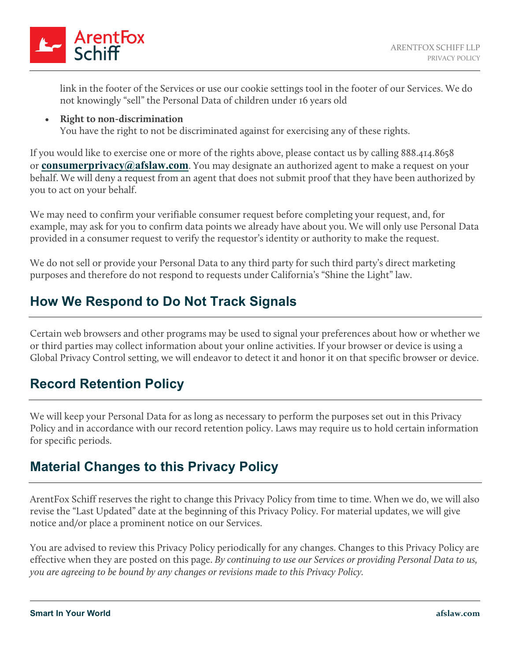

link in the footer of the Services or use our cookie settings tool in the footer of our Services. We do not knowingly "sell" the Personal Data of children under 16 years old

• **Right to non-discrimination** You have the right to not be discriminated against for exercising any of these rights.

If you would like to exercise one or more of the rights above, please contact us by calling 888.414.8658 or **[consumerprivacy@afslaw.com](mailto:consumerprivacy@afslaw.com)**. You may designate an authorized agent to make a request on your behalf. We will deny a request from an agent that does not submit proof that they have been authorized by you to act on your behalf.

We may need to confirm your verifiable consumer request before completing your request, and, for example, may ask for you to confirm data points we already have about you. We will only use Personal Data provided in a consumer request to verify the requestor's identity or authority to make the request.

We do not sell or provide your Personal Data to any third party for such third party's direct marketing purposes and therefore do not respond to requests under California's "Shine the Light" law.

# <span id="page-10-0"></span>**How We Respond to Do Not Track Signals**

Certain web browsers and other programs may be used to signal your preferences about how or whether we or third parties may collect information about your online activities. If your browser or device is using a Global Privacy Control setting, we will endeavor to detect it and honor it on that specific browser or device.

## <span id="page-10-1"></span>**Record Retention Policy**

We will keep your Personal Data for as long as necessary to perform the purposes set out in this Privacy Policy and in accordance with our record retention policy. Laws may require us to hold certain information for specific periods.

## <span id="page-10-2"></span>**Material Changes to this Privacy Policy**

ArentFox Schiff reserves the right to change this Privacy Policy from time to time. When we do, we will also revise the "Last Updated" date at the beginning of this Privacy Policy. For material updates, we will give notice and/or place a prominent notice on our Services.

You are advised to review this Privacy Policy periodically for any changes. Changes to this Privacy Policy are effective when they are posted on this page. *By continuing to use our Services or providing Personal Data to us, you are agreeing to be bound by any changes or revisions made to this Privacy Policy.*